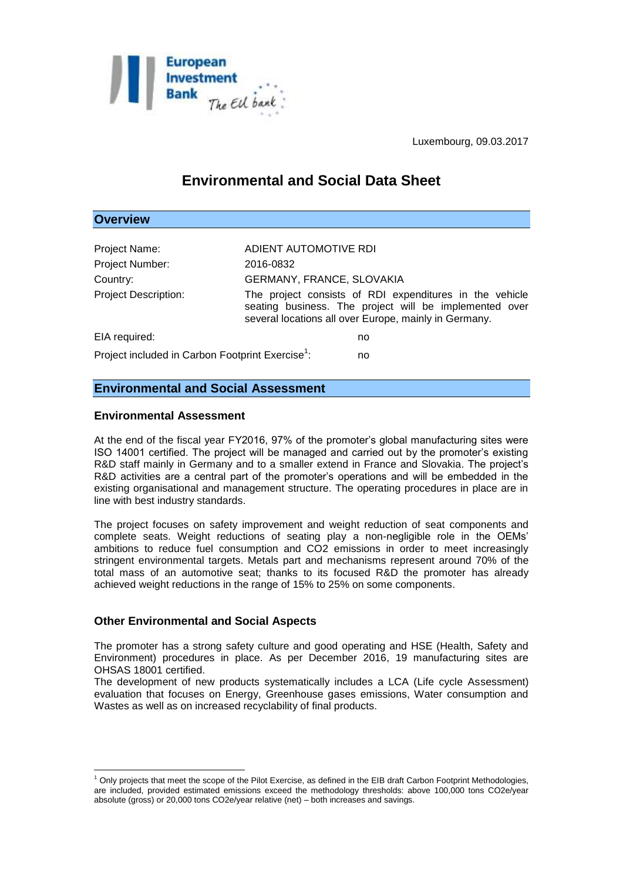

Luxembourg, 09.03.2017

# **Environmental and Social Data Sheet**

### **Overview**

1

| Project Name:                                                | ADIENT AUTOMOTIVE RDI                                                                                                                                                      |
|--------------------------------------------------------------|----------------------------------------------------------------------------------------------------------------------------------------------------------------------------|
| Project Number:                                              | 2016-0832                                                                                                                                                                  |
| Country:                                                     | GERMANY, FRANCE, SLOVAKIA                                                                                                                                                  |
| <b>Project Description:</b>                                  | The project consists of RDI expenditures in the vehicle<br>seating business. The project will be implemented over<br>several locations all over Europe, mainly in Germany. |
| EIA required:                                                | no                                                                                                                                                                         |
| Project included in Carbon Footprint Exercise <sup>1</sup> : | no                                                                                                                                                                         |

# **Environmental and Social Assessment**

#### **Environmental Assessment**

At the end of the fiscal year FY2016, 97% of the promoter's global manufacturing sites were ISO 14001 certified. The project will be managed and carried out by the promoter's existing R&D staff mainly in Germany and to a smaller extend in France and Slovakia. The project's R&D activities are a central part of the promoter's operations and will be embedded in the existing organisational and management structure. The operating procedures in place are in line with best industry standards.

The project focuses on safety improvement and weight reduction of seat components and complete seats. Weight reductions of seating play a non-negligible role in the OEMs' ambitions to reduce fuel consumption and CO2 emissions in order to meet increasingly stringent environmental targets. Metals part and mechanisms represent around 70% of the total mass of an automotive seat; thanks to its focused R&D the promoter has already achieved weight reductions in the range of 15% to 25% on some components.

#### **Other Environmental and Social Aspects**

The promoter has a strong safety culture and good operating and HSE (Health, Safety and Environment) procedures in place. As per December 2016, 19 manufacturing sites are OHSAS 18001 certified.

The development of new products systematically includes a LCA (Life cycle Assessment) evaluation that focuses on Energy, Greenhouse gases emissions, Water consumption and Wastes as well as on increased recyclability of final products.

 $1$  Only projects that meet the scope of the Pilot Exercise, as defined in the EIB draft Carbon Footprint Methodologies, are included, provided estimated emissions exceed the methodology thresholds: above 100,000 tons CO2e/year absolute (gross) or 20,000 tons CO2e/year relative (net) – both increases and savings.